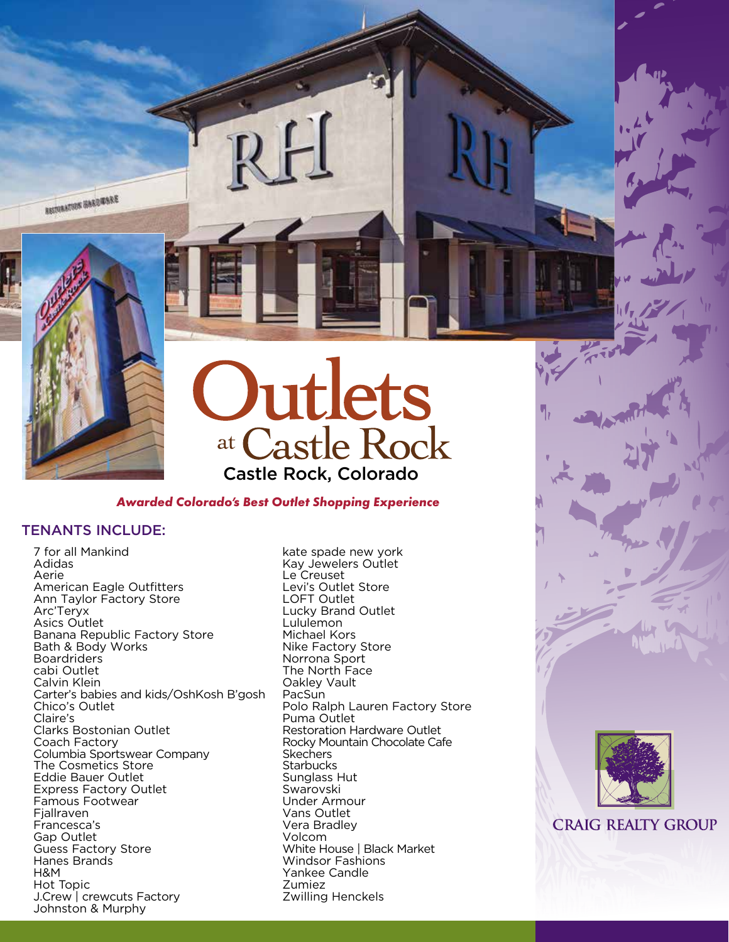

RESTORATION HARDWARE



## *Awarded Colorado's Best Outlet Shopping Experience*

# TENANTS INCLUDE:

7 for all Mankind Adidas Aerie American Eagle Outfitters Ann Taylor Factory Store Arc'Teryx Asics Outlet Banana Republic Factory Store Bath & Body Works **Boardriders** cabi Outlet Calvin Klein Carter's babies and kids/OshKosh B'gosh Chico's Outlet Claire's Clarks Bostonian Outlet Coach Factory Columbia Sportswear Company The Cosmetics Store Eddie Bauer Outlet Express Factory Outlet Famous Footwear **Fiallraven** Francesca's Gap Outlet Guess Factory Store Hanes Brands H&M Hot Topic J.Crew | crewcuts Factory Johnston & Murphy

kate spade new york Kay Jewelers Outlet Le Creuset Levi's Outlet Store LOFT Outlet Lucky Brand Outlet Lululemon Michael Kors Nike Factory Store Norrona Sport The North Face Oakley Vault PacSun Polo Ralph Lauren Factory Store Puma Outlet Restoration Hardware Outlet Rocky Mountain Chocolate Cafe **Skechers Starbucks** Sunglass Hut Swarovski Under Armour Vans Outlet Vera Bradley Volcom White House | Black Market Windsor Fashions Yankee Candle Zumiez Zwilling Henckels



**CRAIG REALTY GROUP**